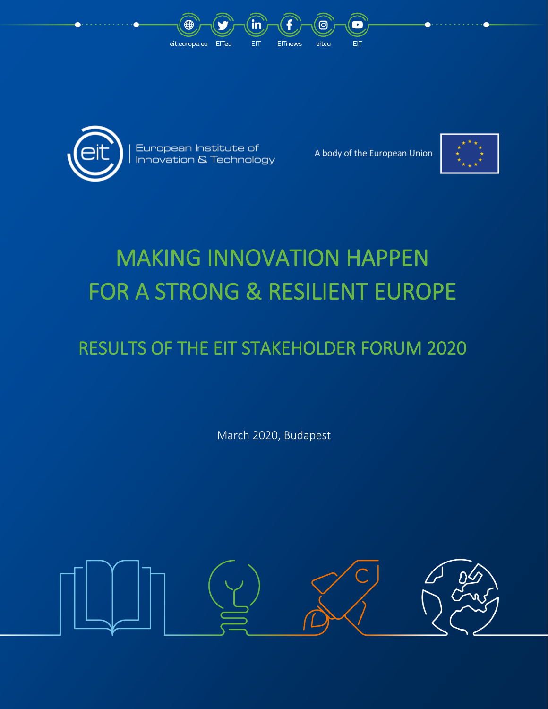



European Institute of Innovation & Technology

A body of the European Union



# MAKING INNOVATION HAPPEN FOR A STRONG & RESILIENT EUROPE

## RESULTS OF THE EIT STAKEHOLDER FORUM 2020

March 2020, Budapest

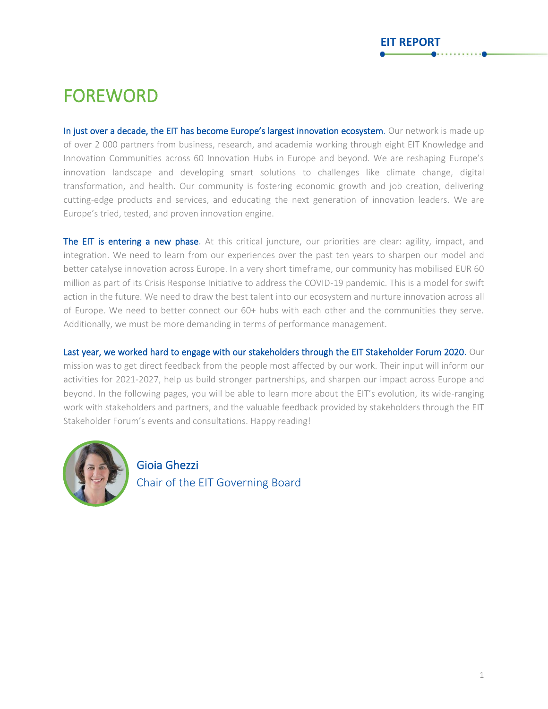### FOREWORD

In just over a decade, the EIT has become Europe's largest innovation ecosystem. Our network is made up of over 2 000 partners from business, research, and academia working through eight EIT Knowledge and Innovation Communities across 60 Innovation Hubs in Europe and beyond. We are reshaping Europe's innovation landscape and developing smart solutions to challenges like climate change, digital transformation, and health. Our community is fostering economic growth and job creation, delivering cutting-edge products and services, and educating the next generation of innovation leaders. We are Europe's tried, tested, and proven innovation engine.

The EIT is entering a new phase. At this critical juncture, our priorities are clear: agility, impact, and integration. We need to learn from our experiences over the past ten years to sharpen our model and better catalyse innovation across Europe. In a very short timeframe, our community has mobilised EUR 60 million as part of its Crisis Response Initiative to address the COVID-19 pandemic. This is a model for swift action in the future. We need to draw the best talent into our ecosystem and nurture innovation across all of Europe. We need to better connect our 60+ hubs with each other and the communities they serve. Additionally, we must be more demanding in terms of performance management.

Last year, we worked hard to engage with our stakeholders through the EIT Stakeholder Forum 2020. Our mission was to get direct feedback from the people most affected by our work. Their input will inform our activities for 2021-2027, help us build stronger partnerships, and sharpen our impact across Europe and beyond. In the following pages, you will be able to learn more about the EIT's evolution, its wide-ranging work with stakeholders and partners, and the valuable feedback provided by stakeholders through the EIT Stakeholder Forum's events and consultations. Happy reading!



Gioia Ghezzi Chair of the EIT Governing Board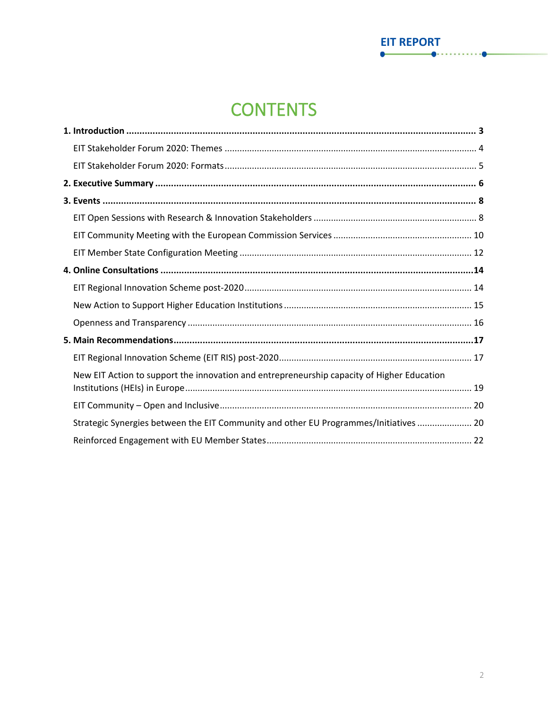### **CONTENTS**

**EIT REPORT** 

| New EIT Action to support the innovation and entrepreneurship capacity of Higher Education |
|--------------------------------------------------------------------------------------------|
|                                                                                            |
| Strategic Synergies between the EIT Community and other EU Programmes/Initiatives  20      |
|                                                                                            |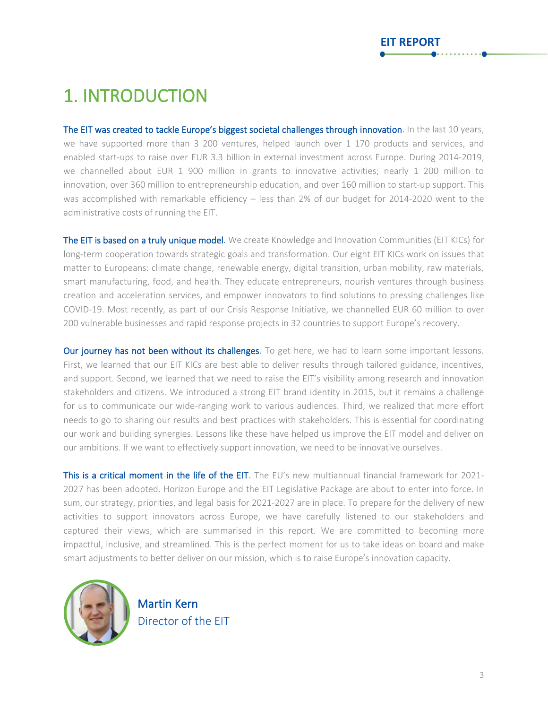### <span id="page-3-0"></span>1. INTRODUCTION

The EIT was created to tackle Europe's biggest societal challenges through innovation. In the last 10 years, we have supported more than 3 200 ventures, helped launch over 1 170 products and services, and enabled start-ups to raise over EUR 3.3 billion in external investment across Europe. During 2014-2019, we channelled about EUR 1 900 million in grants to innovative activities; nearly 1 200 million to innovation, over 360 million to entrepreneurship education, and over 160 million to start-up support. This was accomplished with remarkable efficiency – less than 2% of our budget for 2014-2020 went to the administrative costs of running the EIT.

The EIT is based on a truly unique model. We create Knowledge and Innovation Communities (EIT KICs) for long-term cooperation towards strategic goals and transformation. Our eight EIT KICs work on issues that matter to Europeans: climate change, renewable energy, digital transition, urban mobility, raw materials, smart manufacturing, food, and health. They educate entrepreneurs, nourish ventures through business creation and acceleration services, and empower innovators to find solutions to pressing challenges like COVID-19. Most recently, as part of our Crisis Response Initiative, we channelled EUR 60 million to over 200 vulnerable businesses and rapid response projects in 32 countries to support Europe's recovery.

Our journey has not been without its challenges. To get here, we had to learn some important lessons. First, we learned that our EIT KICs are best able to deliver results through tailored guidance, incentives, and support. Second, we learned that we need to raise the EIT's visibility among research and innovation stakeholders and citizens. We introduced a strong EIT brand identity in 2015, but it remains a challenge for us to communicate our wide-ranging work to various audiences. Third, we realized that more effort needs to go to sharing our results and best practices with stakeholders. This is essential for coordinating our work and building synergies. Lessons like these have helped us improve the EIT model and deliver on our ambitions. If we want to effectively support innovation, we need to be innovative ourselves.

This is a critical moment in the life of the EIT. The EU's new multiannual financial framework for 2021-2027 has been adopted. Horizon Europe and the EIT Legislative Package are about to enter into force. In sum, our strategy, priorities, and legal basis for 2021-2027 are in place. To prepare for the delivery of new activities to support innovators across Europe, we have carefully listened to our stakeholders and captured their views, which are summarised in this report. We are committed to becoming more impactful, inclusive, and streamlined. This is the perfect moment for us to take ideas on board and make smart adjustments to better deliver on our mission, which is to raise Europe's innovation capacity.



Martin Kern Director of the EIT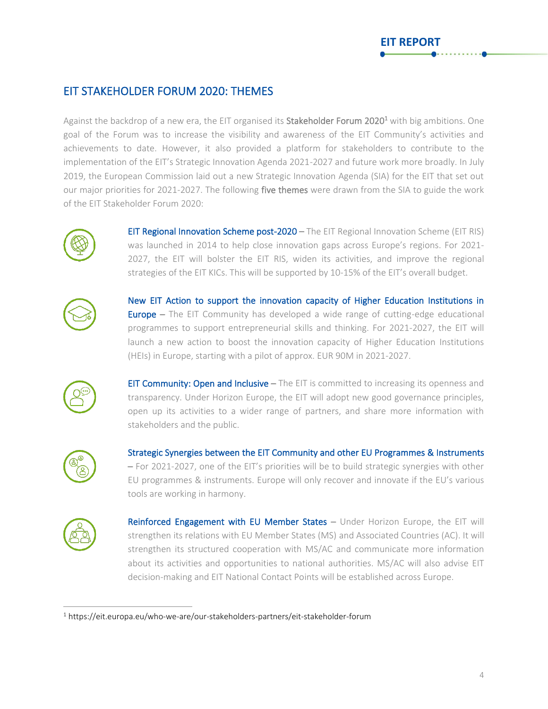### <span id="page-4-0"></span>EIT STAKEHOLDER FORUM 2020: THEMES

Against the backdrop of a new era, the EIT organised its Stakeholder Forum 2020<sup>1</sup> with big ambitions. One goal of the Forum was to increase the visibility and awareness of the EIT Community's activities and achievements to date. However, it also provided a platform for stakeholders to contribute to the implementation of the EIT's Strategic Innovation Agenda 2021-2027 and future work more broadly. In July 2019, the European Commission laid out a new Strategic Innovation Agenda (SIA) for the EIT that set out our major priorities for 2021-2027. The following five themes were drawn from the SIA to guide the work of the EIT Stakeholder Forum 2020:



EIT Regional Innovation Scheme post-2020 – The EIT Regional Innovation Scheme (EIT RIS) was launched in 2014 to help close innovation gaps across Europe's regions. For 2021- 2027, the EIT will bolster the EIT RIS, widen its activities, and improve the regional strategies of the EIT KICs. This will be supported by 10-15% of the EIT's overall budget.



New EIT Action to support the innovation capacity of Higher Education Institutions in **Europe** – The EIT Community has developed a wide range of cutting-edge educational programmes to support entrepreneurial skills and thinking. For 2021-2027, the EIT will launch a new action to boost the innovation capacity of Higher Education Institutions (HEIs) in Europe, starting with a pilot of approx. EUR 90M in 2021-2027.



**EIT Community: Open and Inclusive –** The EIT is committed to increasing its openness and transparency. Under Horizon Europe, the EIT will adopt new good governance principles, open up its activities to a wider range of partners, and share more information with stakeholders and the public.



Strategic Synergies between the EIT Community and other EU Programmes & Instruments – For 2021-2027, one of the EIT's priorities will be to build strategic synergies with other EU programmes & instruments. Europe will only recover and innovate if the EU's various tools are working in harmony.



Reinforced Engagement with EU Member States - Under Horizon Europe, the EIT will strengthen its relations with EU Member States (MS) and Associated Countries (AC). It will strengthen its structured cooperation with MS/AC and communicate more information about its activities and opportunities to national authorities. MS/AC will also advise EIT decision-making and EIT National Contact Points will be established across Europe.

<sup>&</sup>lt;sup>1</sup> https://eit.europa.eu/who-we-are/our-stakeholders-partners/eit-stakeholder-forum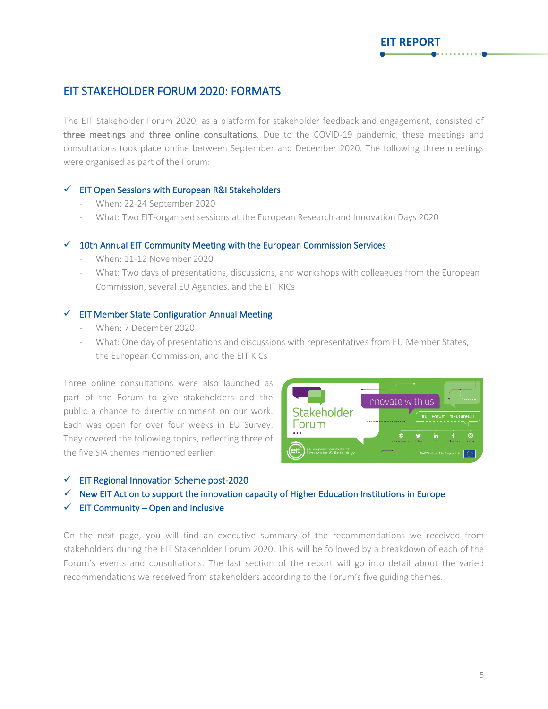### <span id="page-5-0"></span>EIT STAKEHOLDER FORUM 2020: FORMATS

The EIT Stakeholder Forum 2020, as a platform for stakeholder feedback and engagement, consisted of three meetings and three online consultations. Due to the COVID-19 pandemic, these meetings and consultations took place online between September and December 2020. The following three meetings were organised as part of the Forum:

#### ✓ EIT Open Sessions with European R&I Stakeholders

- When: 22-24 September 2020
- What: Two EIT-organised sessions at the European Research and Innovation Days 2020

#### $\checkmark$  10th Annual EIT Community Meeting with the European Commission Services

- When: 11-12 November 2020
- What: Two days of presentations, discussions, and workshops with colleagues from the European Commission, several EU Agencies, and the EIT KICs

#### $\checkmark$  EIT Member State Configuration Annual Meeting

- When: 7 December 2020
- What: One day of presentations and discussions with representatives from EU Member States, the European Commission, and the EIT KICs

Three online consultations were also launched as part of the Forum to give stakeholders and the public a chance to directly comment on our work. Each was open for over four weeks in EU Survey. They covered the following topics, reflecting three of the five SIA themes mentioned earlier:



**EIT REPORT**

- $\checkmark$  EIT Regional Innovation Scheme post-2020
- $\checkmark$  New EIT Action to support the innovation capacity of Higher Education Institutions in Europe
- $\checkmark$  EIT Community Open and Inclusive

On the next page, you will find an executive summary of the recommendations we received from stakeholders during the EIT Stakeholder Forum 2020. This will be followed by a breakdown of each of the Forum's events and consultations. The last section of the report will go into detail about the varied recommendations we received from stakeholders according to the Forum's five guiding themes.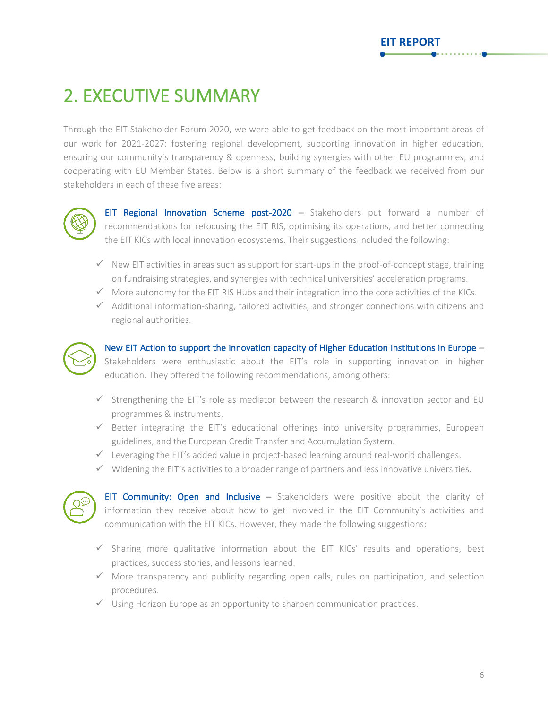### <span id="page-6-0"></span>2. EXECUTIVE SUMMARY

Through the EIT Stakeholder Forum 2020, we were able to get feedback on the most important areas of our work for 2021-2027: fostering regional development, supporting innovation in higher education, ensuring our community's transparency & openness, building synergies with other EU programmes, and cooperating with EU Member States. Below is a short summary of the feedback we received from our stakeholders in each of these five areas:



EIT Regional Innovation Scheme post-2020 – Stakeholders put forward a number of recommendations for refocusing the EIT RIS, optimising its operations, and better connecting the EIT KICs with local innovation ecosystems. Their suggestions included the following:

- ✓ New EIT activities in areas such as support for start-ups in the proof-of-concept stage, training on fundraising strategies, and synergies with technical universities' acceleration programs.
- $\checkmark$  More autonomy for the EIT RIS Hubs and their integration into the core activities of the KICs.
- $\checkmark$  Additional information-sharing, tailored activities, and stronger connections with citizens and regional authorities.



New EIT Action to support the innovation capacity of Higher Education Institutions in Europe – Stakeholders were enthusiastic about the EIT's role in supporting innovation in higher education. They offered the following recommendations, among others:

- $\checkmark$  Strengthening the EIT's role as mediator between the research & innovation sector and EU programmes & instruments.
- $\checkmark$  Better integrating the EIT's educational offerings into university programmes, European guidelines, and the European Credit Transfer and Accumulation System.
- $\checkmark$  Leveraging the EIT's added value in project-based learning around real-world challenges.
- $\checkmark$  Widening the EIT's activities to a broader range of partners and less innovative universities.



EIT Community: Open and Inclusive - Stakeholders were positive about the clarity of information they receive about how to get involved in the EIT Community's activities and communication with the EIT KICs. However, they made the following suggestions:

- ✓ Sharing more qualitative information about the EIT KICs' results and operations, best practices, success stories, and lessons learned.
- $\checkmark$  More transparency and publicity regarding open calls, rules on participation, and selection procedures.
- $\checkmark$  Using Horizon Europe as an opportunity to sharpen communication practices.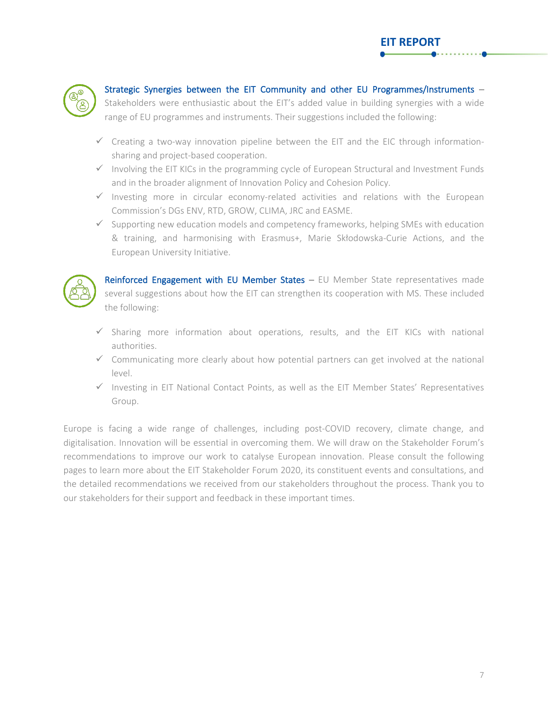

### Strategic Synergies between the EIT Community and other EU Programmes/Instruments –

Stakeholders were enthusiastic about the EIT's added value in building synergies with a wide range of EU programmes and instruments. Their suggestions included the following:

- ✓ Creating a two-way innovation pipeline between the EIT and the EIC through informationsharing and project-based cooperation.
- ✓ Involving the EIT KICs in the programming cycle of European Structural and Investment Funds and in the broader alignment of Innovation Policy and Cohesion Policy.
- ✓ Investing more in circular economy-related activities and relations with the European Commission's DGs ENV, RTD, GROW, CLIMA, JRC and EASME.
- ✓ Supporting new education models and competency frameworks, helping SMEs with education & training, and harmonising with Erasmus+, Marie Skłodowska-Curie Actions, and the European University Initiative.



Reinforced Engagement with EU Member States  $-$  EU Member State representatives made several suggestions about how the EIT can strengthen its cooperation with MS. These included the following:

- $\checkmark$  Sharing more information about operations, results, and the EIT KICs with national authorities.
- ✓ Communicating more clearly about how potential partners can get involved at the national level.
- ✓ Investing in EIT National Contact Points, as well as the EIT Member States' Representatives Group.

Europe is facing a wide range of challenges, including post-COVID recovery, climate change, and digitalisation. Innovation will be essential in overcoming them. We will draw on the Stakeholder Forum's recommendations to improve our work to catalyse European innovation. Please consult the following pages to learn more about the EIT Stakeholder Forum 2020, its constituent events and consultations, and the detailed recommendations we received from our stakeholders throughout the process. Thank you to our stakeholders for their support and feedback in these important times.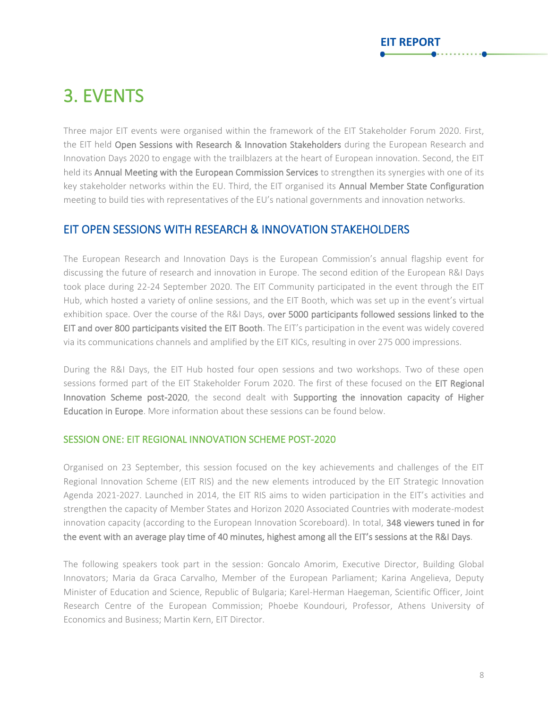### <span id="page-8-0"></span>3. EVENTS

Three major EIT events were organised within the framework of the EIT Stakeholder Forum 2020. First, the EIT held Open Sessions with Research & Innovation Stakeholders during the European Research and Innovation Days 2020 to engage with the trailblazers at the heart of European innovation. Second, the EIT held its Annual Meeting with the European Commission Services to strengthen its synergies with one of its key stakeholder networks within the EU. Third, the EIT organised its Annual Member State Configuration meeting to build ties with representatives of the EU's national governments and innovation networks.

### <span id="page-8-1"></span>EIT OPEN SESSIONS WITH RESEARCH & INNOVATION STAKEHOLDERS

The European Research and Innovation Days is the European Commission's annual flagship event for discussing the future of research and innovation in Europe. The second edition of the European R&I Days took place during 22-24 September 2020. The EIT Community participated in the event through the EIT Hub, which hosted a variety of online sessions, and the EIT Booth, which was set up in the event's virtual exhibition space. Over the course of the R&I Days, over 5000 participants followed sessions linked to the EIT and over 800 participants visited the EIT Booth. The EIT's participation in the event was widely covered via its communications channels and amplified by the EIT KICs, resulting in over 275 000 impressions.

During the R&I Days, the EIT Hub hosted four open sessions and two workshops. Two of these open sessions formed part of the EIT Stakeholder Forum 2020. The first of these focused on the EIT Regional Innovation Scheme post-2020, the second dealt with Supporting the innovation capacity of Higher Education in Europe. More information about these sessions can be found below.

### SESSION ONE: EIT REGIONAL INNOVATION SCHEME POST-2020

Organised on 23 September, this session focused on the key achievements and challenges of the EIT Regional Innovation Scheme (EIT RIS) and the new elements introduced by the EIT Strategic Innovation Agenda 2021-2027. Launched in 2014, the EIT RIS aims to widen participation in the EIT's activities and strengthen the capacity of Member States and Horizon 2020 Associated Countries with moderate-modest innovation capacity (according to the European Innovation Scoreboard). In total, 348 viewers tuned in for the event with an average play time of 40 minutes, highest among all the EIT's sessions at the R&I Days.

The following speakers took part in the session: Goncalo Amorim, Executive Director, Building Global Innovators; Maria da Graca Carvalho, Member of the European Parliament; Karina Angelieva, Deputy Minister of Education and Science, Republic of Bulgaria; Karel-Herman Haegeman, Scientific Officer, Joint Research Centre of the European Commission; Phoebe Koundouri, Professor, Athens University of Economics and Business; Martin Kern, EIT Director.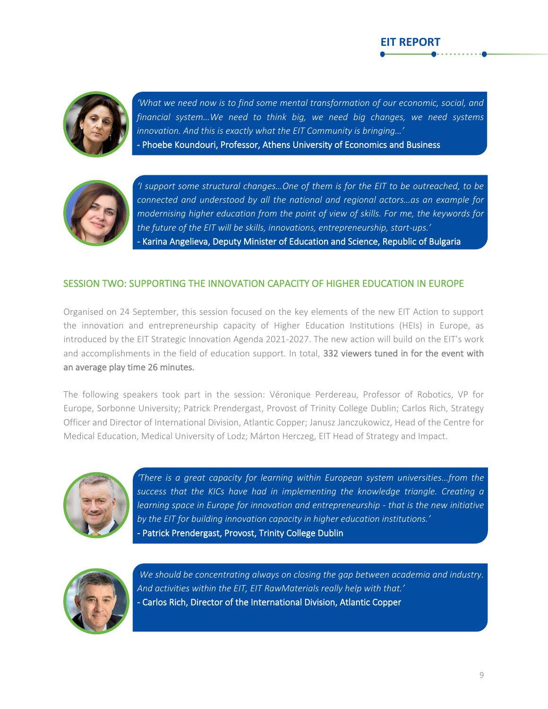

j

*'What we need now is to find some mental transformation of our economic, social, and financial system…We need to think big, we need big changes, we need systems innovation. And this is exactly what the EIT Community is bringing…'* - Phoebe Koundouri, Professor, Athens University of Economics and Business

**EIT REPORT**



*'I support some structural changes…One of them is for the EIT to be outreached, to be connected and understood by all the national and regional actors…as an example for modernising higher education from the point of view of skills. For me, the keywords for the future of the EIT will be skills, innovations, entrepreneurship, start-ups.'* - Karina Angelieva, Deputy Minister of Education and Science, Republic of Bulgaria

### SESSION TWO: SUPPORTING THE INNOVATION CAPACITY OF HIGHER EDUCATION IN EUROPE

Organised on 24 September, this session focused on the key elements of the new EIT Action to support the innovation and entrepreneurship capacity of Higher Education Institutions (HEIs) in Europe, as introduced by the EIT Strategic Innovation Agenda 2021-2027. The new action will build on the EIT's work and accomplishments in the field of education support. In total, 332 viewers tuned in for the event with an average play time 26 minutes.

The following speakers took part in the session: Véronique Perdereau, Professor of Robotics, VP for Europe, Sorbonne University; Patrick Prendergast, Provost of Trinity College Dublin; Carlos Rich, Strategy Officer and Director of International Division, Atlantic Copper; Janusz Janczukowicz, Head of the Centre for Medical Education, Medical University of Lodz; Márton Herczeg, EIT Head of Strategy and Impact.



*'There is a great capacity for learning within European system universities…from the success that the KICs have had in implementing the knowledge triangle. Creating a learning space in Europe for innovation and entrepreneurship - that is the new initiative by the EIT for building innovation capacity in higher education institutions.'* - Patrick Prendergast, Provost, Trinity College Dublin



*'We should be concentrating always on closing the gap between academia and industry. And activities within the EIT, EIT RawMaterials really help with that.'* - Carlos Rich, Director of the International Division, Atlantic Copper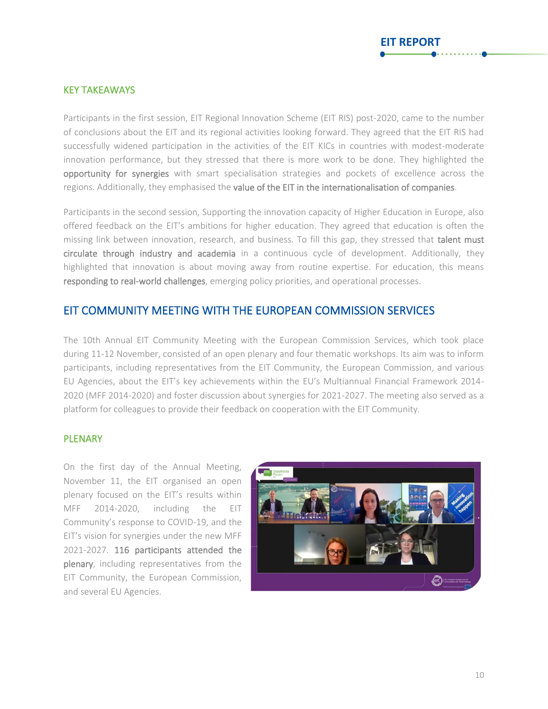### KEY TAKEAWAYS

Participants in the first session, EIT Regional Innovation Scheme (EIT RIS) post-2020, came to the number of conclusions about the EIT and its regional activities looking forward. They agreed that the EIT RIS had successfully widened participation in the activities of the EIT KICs in countries with modest-moderate innovation performance, but they stressed that there is more work to be done. They highlighted the opportunity for synergies with smart specialisation strategies and pockets of excellence across the regions. Additionally, they emphasised the value of the EIT in the internationalisation of companies.

Participants in the second session, Supporting the innovation capacity of Higher Education in Europe, also offered feedback on the EIT's ambitions for higher education. They agreed that education is often the missing link between innovation, research, and business. To fill this gap, they stressed that talent must circulate through industry and academia in a continuous cycle of development. Additionally, they highlighted that innovation is about moving away from routine expertise. For education, this means responding to real-world challenges, emerging policy priorities, and operational processes.

### <span id="page-10-0"></span>EIT COMMUNITY MEETING WITH THE EUROPEAN COMMISSION SERVICES

The 10th Annual EIT Community Meeting with the European Commission Services, which took place during 11-12 November, consisted of an open plenary and four thematic workshops. Its aim was to inform participants, including representatives from the EIT Community, the European Commission, and various EU Agencies, about the EIT's key achievements within the EU's Multiannual Financial Framework 2014- 2020 (MFF 2014-2020) and foster discussion about synergies for 2021-2027. The meeting also served as a platform for colleagues to provide their feedback on cooperation with the EIT Community.

#### PLENARY

On the first day of the Annual Meeting, November 11, the EIT organised an open plenary focused on the EIT's results within MFF 2014-2020, including the EIT Community's response to COVID-19, and the EIT's vision for synergies under the new MFF 2021-2027. 116 participants attended the plenary, including representatives from the EIT Community, the European Commission, and several EU Agencies.

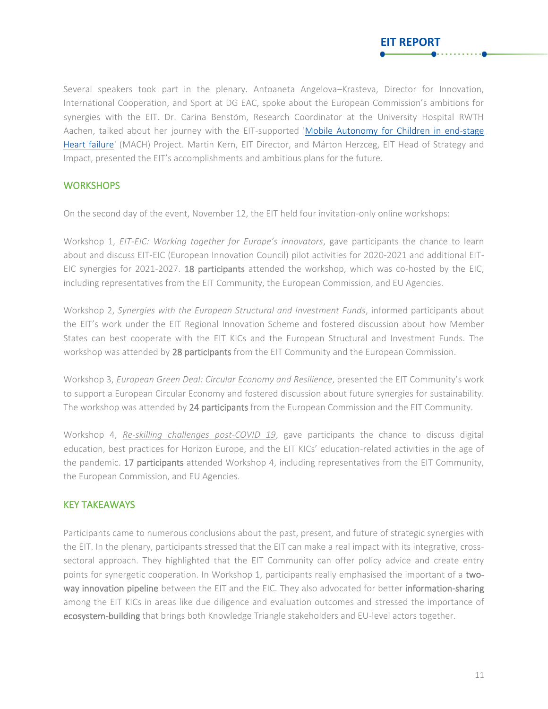Several speakers took part in the plenary. Antoaneta Angelova–Krasteva, Director for Innovation, International Cooperation, and Sport at DG EAC, spoke about the European Commission's ambitions for synergies with the EIT. Dr. Carina Benstöm, Research Coordinator at the University Hospital RWTH Aachen, talked about her journey with the EIT-supported ['Mobile Autonomy for Children in end-stage](http://eithealth.eu/project/mach)  [Heart failure'](http://eithealth.eu/project/mach) (MACH) Project. Martin Kern, EIT Director, and Márton Herzceg, EIT Head of Strategy and Impact, presented the EIT's accomplishments and ambitious plans for the future.

**EIT REPORT**

### **WORKSHOPS**

On the second day of the event, November 12, the EIT held four invitation-only online workshops:

Workshop 1, *EIT-EIC: Working together for Europe's innovators*, gave participants the chance to learn about and discuss EIT-EIC (European Innovation Council) pilot activities for 2020-2021 and additional EIT-EIC synergies for 2021-2027. 18 participants attended the workshop, which was co-hosted by the EIC, including representatives from the EIT Community, the European Commission, and EU Agencies.

Workshop 2, *Synergies with the European Structural and Investment Funds*, informed participants about the EIT's work under the EIT Regional Innovation Scheme and fostered discussion about how Member States can best cooperate with the EIT KICs and the European Structural and Investment Funds. The workshop was attended by 28 participants from the EIT Community and the European Commission.

Workshop 3, *European Green Deal: Circular Economy and Resilience*, presented the EIT Community's work to support a European Circular Economy and fostered discussion about future synergies for sustainability. The workshop was attended by 24 participants from the European Commission and the EIT Community.

Workshop 4, *Re-skilling challenges post-COVID 19*, gave participants the chance to discuss digital education, best practices for Horizon Europe, and the EIT KICs' education-related activities in the age of the pandemic. 17 participants attended Workshop 4, including representatives from the EIT Community, the European Commission, and EU Agencies.

### KEY TAKEAWAYS

Participants came to numerous conclusions about the past, present, and future of strategic synergies with the EIT. In the plenary, participants stressed that the EIT can make a real impact with its integrative, crosssectoral approach. They highlighted that the EIT Community can offer policy advice and create entry points for synergetic cooperation. In Workshop 1, participants really emphasised the important of a twoway innovation pipeline between the EIT and the EIC. They also advocated for better information-sharing among the EIT KICs in areas like due diligence and evaluation outcomes and stressed the importance of ecosystem-building that brings both Knowledge Triangle stakeholders and EU-level actors together.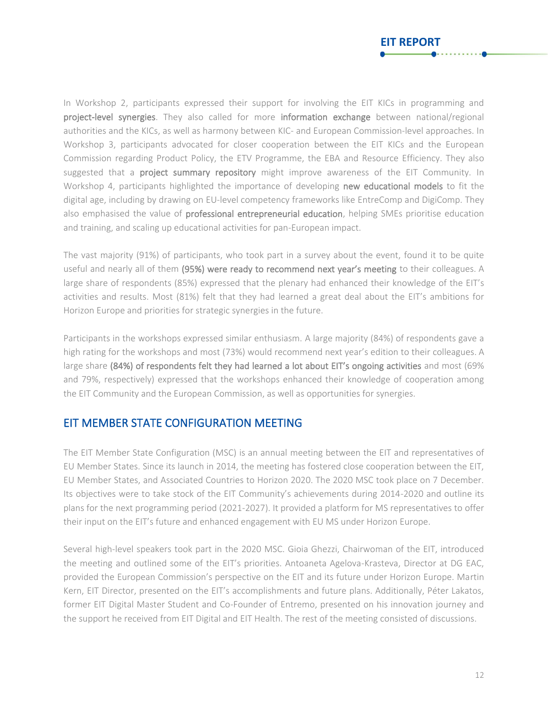

**EIT REPORT**

The vast majority (91%) of participants, who took part in a survey about the event, found it to be quite useful and nearly all of them (95%) were ready to recommend next year's meeting to their colleagues. A large share of respondents (85%) expressed that the plenary had enhanced their knowledge of the EIT's activities and results. Most (81%) felt that they had learned a great deal about the EIT's ambitions for Horizon Europe and priorities for strategic synergies in the future.

Participants in the workshops expressed similar enthusiasm. A large majority (84%) of respondents gave a high rating for the workshops and most (73%) would recommend next year's edition to their colleagues. A large share (84%) of respondents felt they had learned a lot about EIT's ongoing activities and most (69% and 79%, respectively) expressed that the workshops enhanced their knowledge of cooperation among the EIT Community and the European Commission, as well as opportunities for synergies.

### <span id="page-12-0"></span>EIT MEMBER STATE CONFIGURATION MEETING

The EIT Member State Configuration (MSC) is an annual meeting between the EIT and representatives of EU Member States. Since its launch in 2014, the meeting has fostered close cooperation between the EIT, EU Member States, and Associated Countries to Horizon 2020. The 2020 MSC took place on 7 December. Its objectives were to take stock of the EIT Community's achievements during 2014-2020 and outline its plans for the next programming period (2021-2027). It provided a platform for MS representatives to offer their input on the EIT's future and enhanced engagement with EU MS under Horizon Europe.

Several high-level speakers took part in the 2020 MSC. Gioia Ghezzi, Chairwoman of the EIT, introduced the meeting and outlined some of the EIT's priorities. Antoaneta Agelova-Krasteva, Director at DG EAC, provided the European Commission's perspective on the EIT and its future under Horizon Europe. Martin Kern, EIT Director, presented on the EIT's accomplishments and future plans. Additionally, Péter Lakatos, former EIT Digital Master Student and Co-Founder of Entremo, presented on his innovation journey and the support he received from EIT Digital and EIT Health. The rest of the meeting consisted of discussions.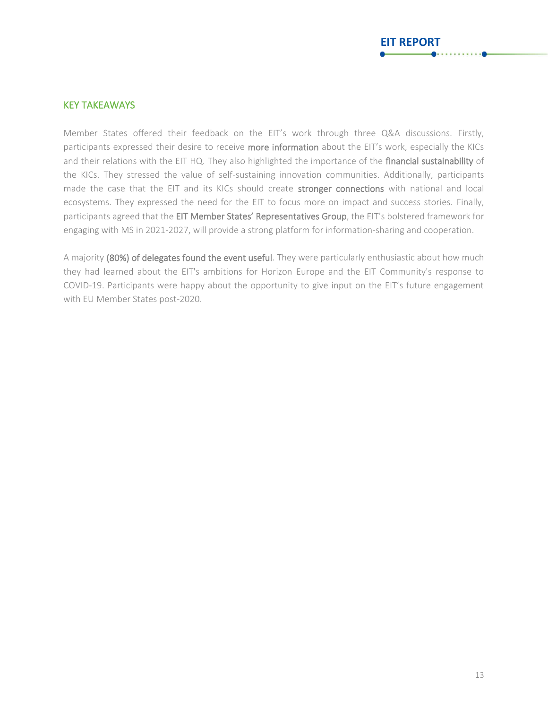### KEY TAKEAWAYS

Member States offered their feedback on the EIT's work through three Q&A discussions. Firstly, participants expressed their desire to receive more information about the EIT's work, especially the KICs and their relations with the EIT HQ. They also highlighted the importance of the financial sustainability of the KICs. They stressed the value of self-sustaining innovation communities. Additionally, participants made the case that the EIT and its KICs should create stronger connections with national and local ecosystems. They expressed the need for the EIT to focus more on impact and success stories. Finally, participants agreed that the EIT Member States' Representatives Group, the EIT's bolstered framework for engaging with MS in 2021-2027, will provide a strong platform for information-sharing and cooperation.

A majority (80%) of delegates found the event useful. They were particularly enthusiastic about how much they had learned about the EIT's ambitions for Horizon Europe and the EIT Community's response to COVID-19. Participants were happy about the opportunity to give input on the EIT's future engagement with EU Member States post-2020.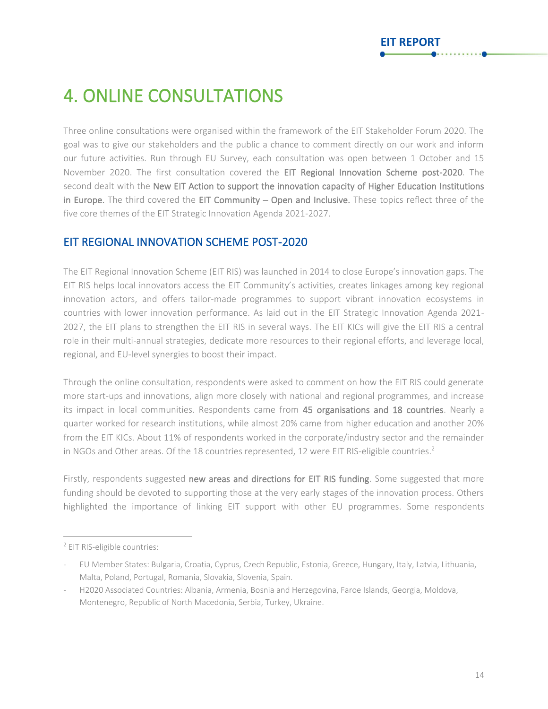### <span id="page-14-0"></span>4. ONLINE CONSULTATIONS

Three online consultations were organised within the framework of the EIT Stakeholder Forum 2020. The goal was to give our stakeholders and the public a chance to comment directly on our work and inform our future activities. Run through EU Survey, each consultation was open between 1 October and 15 November 2020. The first consultation covered the EIT Regional Innovation Scheme post-2020. The second dealt with the New EIT Action to support the innovation capacity of Higher Education Institutions in Europe. The third covered the EIT Community – Open and Inclusive. These topics reflect three of the five core themes of the EIT Strategic Innovation Agenda 2021-2027.

### <span id="page-14-1"></span>EIT REGIONAL INNOVATION SCHEME POST-2020

The EIT Regional Innovation Scheme (EIT RIS) was launched in 2014 to close Europe's innovation gaps. The EIT RIS helps local innovators access the EIT Community's activities, creates linkages among key regional innovation actors, and offers tailor-made programmes to support vibrant innovation ecosystems in countries with lower innovation performance. As laid out in the EIT Strategic Innovation Agenda 2021- 2027, the EIT plans to strengthen the EIT RIS in several ways. The EIT KICs will give the EIT RIS a central role in their multi-annual strategies, dedicate more resources to their regional efforts, and leverage local, regional, and EU-level synergies to boost their impact.

Through the online consultation, respondents were asked to comment on how the EIT RIS could generate more start-ups and innovations, align more closely with national and regional programmes, and increase its impact in local communities. Respondents came from 45 organisations and 18 countries. Nearly a quarter worked for research institutions, while almost 20% came from higher education and another 20% from the EIT KICs. About 11% of respondents worked in the corporate/industry sector and the remainder in NGOs and Other areas. Of the 18 countries represented, 12 were EIT RIS-eligible countries.<sup>2</sup>

Firstly, respondents suggested new areas and directions for EIT RIS funding. Some suggested that more funding should be devoted to supporting those at the very early stages of the innovation process. Others highlighted the importance of linking EIT support with other EU programmes. Some respondents

<sup>2</sup> EIT RIS-eligible countries:

<sup>-</sup> EU Member States: Bulgaria, Croatia, Cyprus, Czech Republic, Estonia, Greece, Hungary, Italy, Latvia, Lithuania, Malta, Poland, Portugal, Romania, Slovakia, Slovenia, Spain.

<sup>-</sup> H2020 Associated Countries: Albania, Armenia, Bosnia and Herzegovina, Faroe Islands, Georgia, Moldova, Montenegro, Republic of North Macedonia, Serbia, Turkey, Ukraine.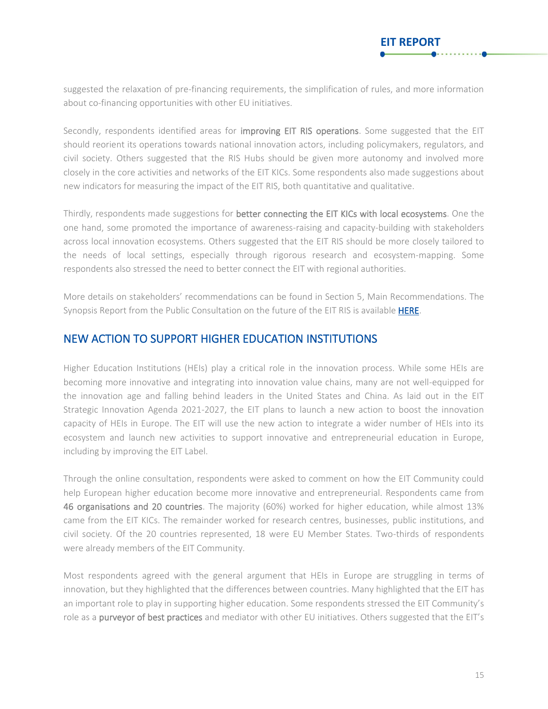suggested the relaxation of pre-financing requirements, the simplification of rules, and more information about co-financing opportunities with other EU initiatives.

Secondly, respondents identified areas for improving EIT RIS operations. Some suggested that the EIT should reorient its operations towards national innovation actors, including policymakers, regulators, and civil society. Others suggested that the RIS Hubs should be given more autonomy and involved more closely in the core activities and networks of the EIT KICs. Some respondents also made suggestions about new indicators for measuring the impact of the EIT RIS, both quantitative and qualitative.

Thirdly, respondents made suggestions for better connecting the EIT KICs with local ecosystems. One the one hand, some promoted the importance of awareness-raising and capacity-building with stakeholders across local innovation ecosystems. Others suggested that the EIT RIS should be more closely tailored to the needs of local settings, especially through rigorous research and ecosystem-mapping. Some respondents also stressed the need to better connect the EIT with regional authorities.

More details on stakeholders' recommendations can be found in Section 5, Main Recommendations. The Synopsis Report from the Public Consultation on the future of the EIT RIS is available [HERE.](https://eit.europa.eu/sites/default/files/consultation_eit_ris_final.pdf)

### <span id="page-15-0"></span>NEW ACTION TO SUPPORT HIGHER EDUCATION INSTITUTIONS

Higher Education Institutions (HEIs) play a critical role in the innovation process. While some HEIs are becoming more innovative and integrating into innovation value chains, many are not well-equipped for the innovation age and falling behind leaders in the United States and China. As laid out in the EIT Strategic Innovation Agenda 2021-2027, the EIT plans to launch a new action to boost the innovation capacity of HEIs in Europe. The EIT will use the new action to integrate a wider number of HEIs into its ecosystem and launch new activities to support innovative and entrepreneurial education in Europe, including by improving the EIT Label.

Through the online consultation, respondents were asked to comment on how the EIT Community could help European higher education become more innovative and entrepreneurial. Respondents came from 46 organisations and 20 countries. The majority (60%) worked for higher education, while almost 13% came from the EIT KICs. The remainder worked for research centres, businesses, public institutions, and civil society. Of the 20 countries represented, 18 were EU Member States. Two-thirds of respondents were already members of the EIT Community.

Most respondents agreed with the general argument that HEIs in Europe are struggling in terms of innovation, but they highlighted that the differences between countries. Many highlighted that the EIT has an important role to play in supporting higher education. Some respondents stressed the EIT Community's role as a purveyor of best practices and mediator with other EU initiatives. Others suggested that the EIT's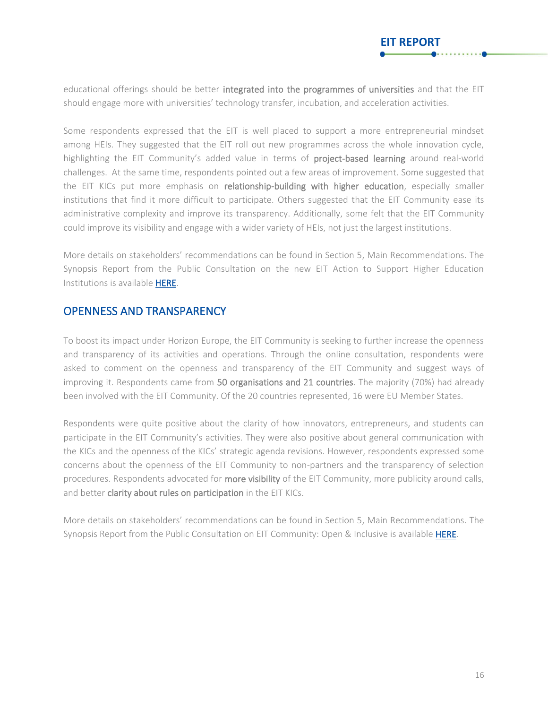**EIT REPORT**

Some respondents expressed that the EIT is well placed to support a more entrepreneurial mindset among HEIs. They suggested that the EIT roll out new programmes across the whole innovation cycle, highlighting the EIT Community's added value in terms of project-based learning around real-world challenges. At the same time, respondents pointed out a few areas of improvement. Some suggested that the EIT KICs put more emphasis on relationship-building with higher education, especially smaller institutions that find it more difficult to participate. Others suggested that the EIT Community ease its administrative complexity and improve its transparency. Additionally, some felt that the EIT Community could improve its visibility and engage with a wider variety of HEIs, not just the largest institutions.

More details on stakeholders' recommendations can be found in Section 5, Main Recommendations. The Synopsis Report from the Public Consultation on the new EIT Action to Support Higher Education Institutions is availabl[e HERE.](https://eit.europa.eu/sites/default/files/consultation_heis_final.pdf)

### <span id="page-16-0"></span>OPENNESS AND TRANSPARENCY

To boost its impact under Horizon Europe, the EIT Community is seeking to further increase the openness and transparency of its activities and operations. Through the online consultation, respondents were asked to comment on the openness and transparency of the EIT Community and suggest ways of improving it. Respondents came from 50 organisations and 21 countries. The majority (70%) had already been involved with the EIT Community. Of the 20 countries represented, 16 were EU Member States.

Respondents were quite positive about the clarity of how innovators, entrepreneurs, and students can participate in the EIT Community's activities. They were also positive about general communication with the KICs and the openness of the KICs' strategic agenda revisions. However, respondents expressed some concerns about the openness of the EIT Community to non-partners and the transparency of selection procedures. Respondents advocated for more visibility of the EIT Community, more publicity around calls, and better clarity about rules on participation in the EIT KICs.

More details on stakeholders' recommendations can be found in Section 5, Main Recommendations. The Synopsis Report from the Public Consultation on EIT Community: Open & Inclusive is available [HERE.](https://eit.europa.eu/sites/default/files/consultation_openness_final.pdf)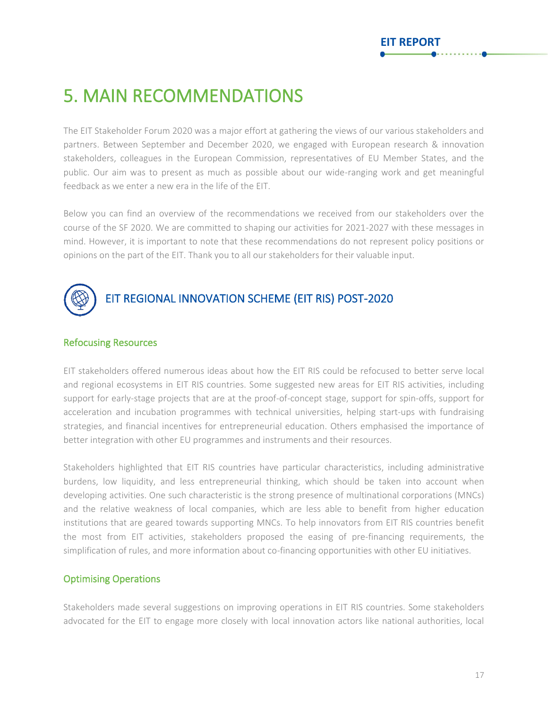### <span id="page-17-0"></span>5. MAIN RECOMMENDATIONS

The EIT Stakeholder Forum 2020 was a major effort at gathering the views of our various stakeholders and partners. Between September and December 2020, we engaged with European research & innovation stakeholders, colleagues in the European Commission, representatives of EU Member States, and the public. Our aim was to present as much as possible about our wide-ranging work and get meaningful feedback as we enter a new era in the life of the EIT.

Below you can find an overview of the recommendations we received from our stakeholders over the course of the SF 2020. We are committed to shaping our activities for 2021-2027 with these messages in mind. However, it is important to note that these recommendations do not represent policy positions or opinions on the part of the EIT. Thank you to all our stakeholders for their valuable input.

<span id="page-17-1"></span>

### Refocusing Resources

EIT stakeholders offered numerous ideas about how the EIT RIS could be refocused to better serve local and regional ecosystems in EIT RIS countries. Some suggested new areas for EIT RIS activities, including support for early-stage projects that are at the proof-of-concept stage, support for spin-offs, support for acceleration and incubation programmes with technical universities, helping start-ups with fundraising strategies, and financial incentives for entrepreneurial education. Others emphasised the importance of better integration with other EU programmes and instruments and their resources.

Stakeholders highlighted that EIT RIS countries have particular characteristics, including administrative burdens, low liquidity, and less entrepreneurial thinking, which should be taken into account when developing activities. One such characteristic is the strong presence of multinational corporations (MNCs) and the relative weakness of local companies, which are less able to benefit from higher education institutions that are geared towards supporting MNCs. To help innovators from EIT RIS countries benefit the most from EIT activities, stakeholders proposed the easing of pre-financing requirements, the simplification of rules, and more information about co-financing opportunities with other EU initiatives.

### Optimising Operations

Stakeholders made several suggestions on improving operations in EIT RIS countries. Some stakeholders advocated for the EIT to engage more closely with local innovation actors like national authorities, local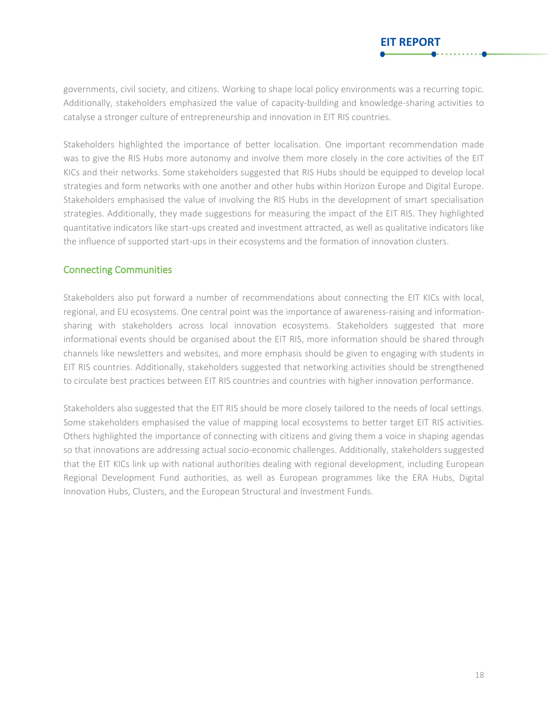**EIT REPORT**

Stakeholders highlighted the importance of better localisation. One important recommendation made was to give the RIS Hubs more autonomy and involve them more closely in the core activities of the EIT KICs and their networks. Some stakeholders suggested that RIS Hubs should be equipped to develop local strategies and form networks with one another and other hubs within Horizon Europe and Digital Europe. Stakeholders emphasised the value of involving the RIS Hubs in the development of smart specialisation strategies. Additionally, they made suggestions for measuring the impact of the EIT RIS. They highlighted quantitative indicators like start-ups created and investment attracted, as well as qualitative indicators like the influence of supported start-ups in their ecosystems and the formation of innovation clusters.

### Connecting Communities

Stakeholders also put forward a number of recommendations about connecting the EIT KICs with local, regional, and EU ecosystems. One central point was the importance of awareness-raising and informationsharing with stakeholders across local innovation ecosystems. Stakeholders suggested that more informational events should be organised about the EIT RIS, more information should be shared through channels like newsletters and websites, and more emphasis should be given to engaging with students in EIT RIS countries. Additionally, stakeholders suggested that networking activities should be strengthened to circulate best practices between EIT RIS countries and countries with higher innovation performance.

Stakeholders also suggested that the EIT RIS should be more closely tailored to the needs of local settings. Some stakeholders emphasised the value of mapping local ecosystems to better target EIT RIS activities. Others highlighted the importance of connecting with citizens and giving them a voice in shaping agendas so that innovations are addressing actual socio-economic challenges. Additionally, stakeholders suggested that the EIT KICs link up with national authorities dealing with regional development, including European Regional Development Fund authorities, as well as European programmes like the ERA Hubs, Digital Innovation Hubs, Clusters, and the European Structural and Investment Funds.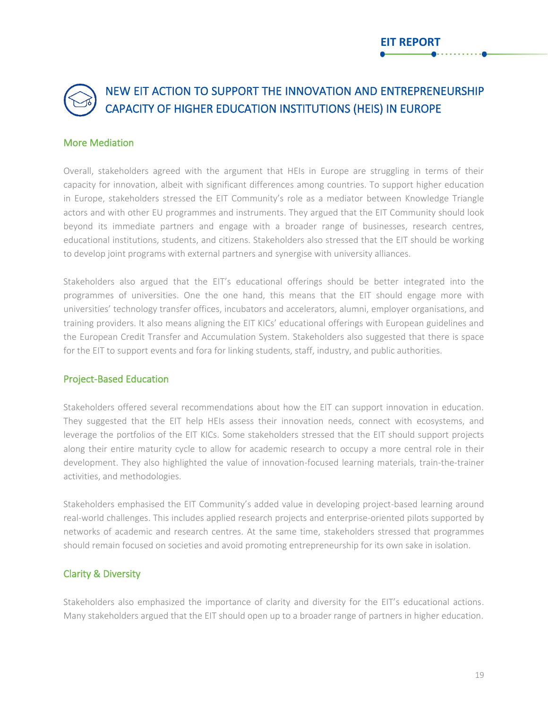### <span id="page-19-0"></span>NEW EIT ACTION TO SUPPORT THE INNOVATION AND ENTREPRENEURSHIP CAPACITY OF HIGHER EDUCATION INSTITUTIONS (HEIS) IN EUROPE

### More Mediation

Overall, stakeholders agreed with the argument that HEIs in Europe are struggling in terms of their capacity for innovation, albeit with significant differences among countries. To support higher education in Europe, stakeholders stressed the EIT Community's role as a mediator between Knowledge Triangle actors and with other EU programmes and instruments. They argued that the EIT Community should look beyond its immediate partners and engage with a broader range of businesses, research centres, educational institutions, students, and citizens. Stakeholders also stressed that the EIT should be working to develop joint programs with external partners and synergise with university alliances.

Stakeholders also argued that the EIT's educational offerings should be better integrated into the programmes of universities. One the one hand, this means that the EIT should engage more with universities' technology transfer offices, incubators and accelerators, alumni, employer organisations, and training providers. It also means aligning the EIT KICs' educational offerings with European guidelines and the European Credit Transfer and Accumulation System. Stakeholders also suggested that there is space for the EIT to support events and fora for linking students, staff, industry, and public authorities.

### Project-Based Education

Stakeholders offered several recommendations about how the EIT can support innovation in education. They suggested that the EIT help HEIs assess their innovation needs, connect with ecosystems, and leverage the portfolios of the EIT KICs. Some stakeholders stressed that the EIT should support projects along their entire maturity cycle to allow for academic research to occupy a more central role in their development. They also highlighted the value of innovation-focused learning materials, train-the-trainer activities, and methodologies.

Stakeholders emphasised the EIT Community's added value in developing project-based learning around real-world challenges. This includes applied research projects and enterprise-oriented pilots supported by networks of academic and research centres. At the same time, stakeholders stressed that programmes should remain focused on societies and avoid promoting entrepreneurship for its own sake in isolation.

### Clarity & Diversity

Stakeholders also emphasized the importance of clarity and diversity for the EIT's educational actions. Many stakeholders argued that the EIT should open up to a broader range of partners in higher education.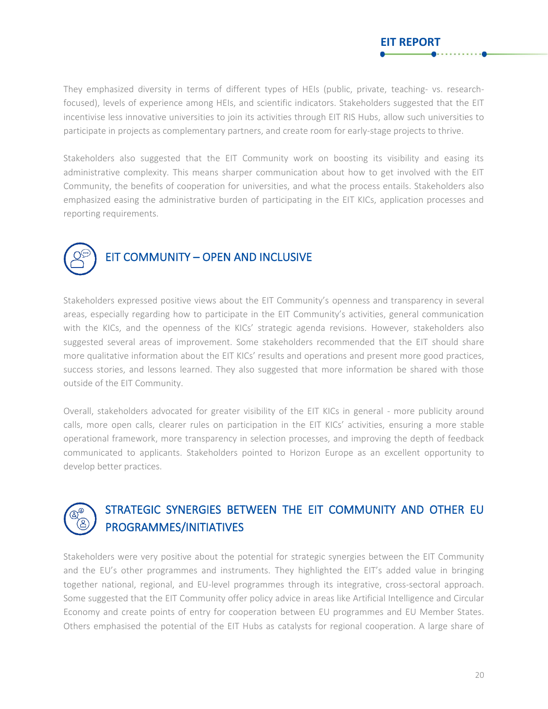They emphasized diversity in terms of different types of HEIs (public, private, teaching- vs. researchfocused), levels of experience among HEIs, and scientific indicators. Stakeholders suggested that the EIT incentivise less innovative universities to join its activities through EIT RIS Hubs, allow such universities to participate in projects as complementary partners, and create room for early-stage projects to thrive.

**EIT REPORT**

Stakeholders also suggested that the EIT Community work on boosting its visibility and easing its administrative complexity. This means sharper communication about how to get involved with the EIT Community, the benefits of cooperation for universities, and what the process entails. Stakeholders also emphasized easing the administrative burden of participating in the EIT KICs, application processes and reporting requirements.

<span id="page-20-0"></span>

Stakeholders expressed positive views about the EIT Community's openness and transparency in several areas, especially regarding how to participate in the EIT Community's activities, general communication with the KICs, and the openness of the KICs' strategic agenda revisions. However, stakeholders also suggested several areas of improvement. Some stakeholders recommended that the EIT should share more qualitative information about the EIT KICs' results and operations and present more good practices, success stories, and lessons learned. They also suggested that more information be shared with those outside of the EIT Community.

Overall, stakeholders advocated for greater visibility of the EIT KICs in general - more publicity around calls, more open calls, clearer rules on participation in the EIT KICs' activities, ensuring a more stable operational framework, more transparency in selection processes, and improving the depth of feedback communicated to applicants. Stakeholders pointed to Horizon Europe as an excellent opportunity to develop better practices.



### <span id="page-20-1"></span>STRATEGIC SYNERGIES BETWEEN THE EIT COMMUNITY AND OTHER EU PROGRAMMES/INITIATIVES

Stakeholders were very positive about the potential for strategic synergies between the EIT Community and the EU's other programmes and instruments. They highlighted the EIT's added value in bringing together national, regional, and EU-level programmes through its integrative, cross-sectoral approach. Some suggested that the EIT Community offer policy advice in areas like Artificial Intelligence and Circular Economy and create points of entry for cooperation between EU programmes and EU Member States. Others emphasised the potential of the EIT Hubs as catalysts for regional cooperation. A large share of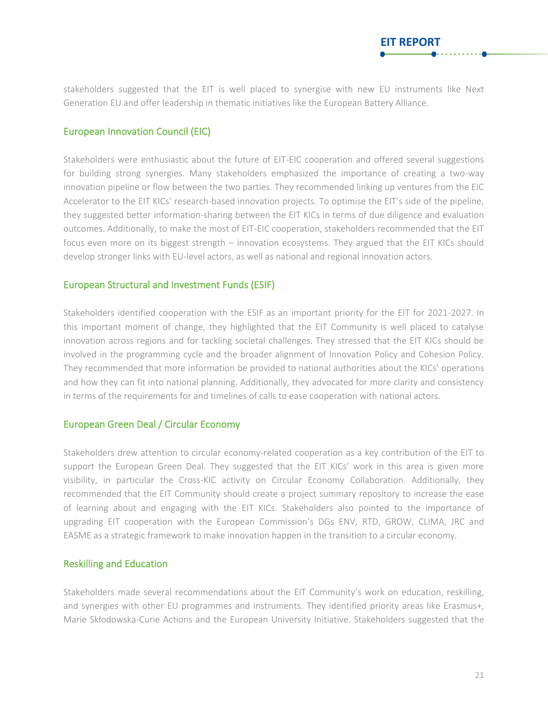stakeholders suggested that the EIT is well placed to synergise with new EU instruments like Next Generation EU and offer leadership in thematic initiatives like the European Battery Alliance.

**EIT REPORT**

### European Innovation Council (EIC)

Stakeholders were enthusiastic about the future of EIT-EIC cooperation and offered several suggestions for building strong synergies. Many stakeholders emphasized the importance of creating a two-way innovation pipeline or flow between the two parties. They recommended linking up ventures from the EIC Accelerator to the EIT KICs' research-based innovation projects. To optimise the EIT's side of the pipeline, they suggested better information-sharing between the EIT KICs in terms of due diligence and evaluation outcomes. Additionally, to make the most of EIT-EIC cooperation, stakeholders recommended that the EIT focus even more on its biggest strength – innovation ecosystems. They argued that the EIT KICs should develop stronger links with EU-level actors, as well as national and regional innovation actors.

#### European Structural and Investment Funds (ESIF)

Stakeholders identified cooperation with the ESIF as an important priority for the EIT for 2021-2027. In this important moment of change, they highlighted that the EIT Community is well placed to catalyse innovation across regions and for tackling societal challenges. They stressed that the EIT KICs should be involved in the programming cycle and the broader alignment of Innovation Policy and Cohesion Policy. They recommended that more information be provided to national authorities about the KICs' operations and how they can fit into national planning. Additionally, they advocated for more clarity and consistency in terms of the requirements for and timelines of calls to ease cooperation with national actors.

#### European Green Deal / Circular Economy

Stakeholders drew attention to circular economy-related cooperation as a key contribution of the EIT to support the European Green Deal. They suggested that the EIT KICs' work in this area is given more visibility, in particular the Cross-KIC activity on Circular Economy Collaboration. Additionally, they recommended that the EIT Community should create a project summary repository to increase the ease of learning about and engaging with the EIT KICs. Stakeholders also pointed to the importance of upgrading EIT cooperation with the European Commission's DGs ENV, RTD, GROW, CLIMA, JRC and EASME as a strategic framework to make innovation happen in the transition to a circular economy.

#### Reskilling and Education

Stakeholders made several recommendations about the EIT Community's work on education, reskilling, and synergies with other EU programmes and instruments. They identified priority areas like Erasmus+, Marie Skłodowska-Curie Actions and the European University Initiative. Stakeholders suggested that the